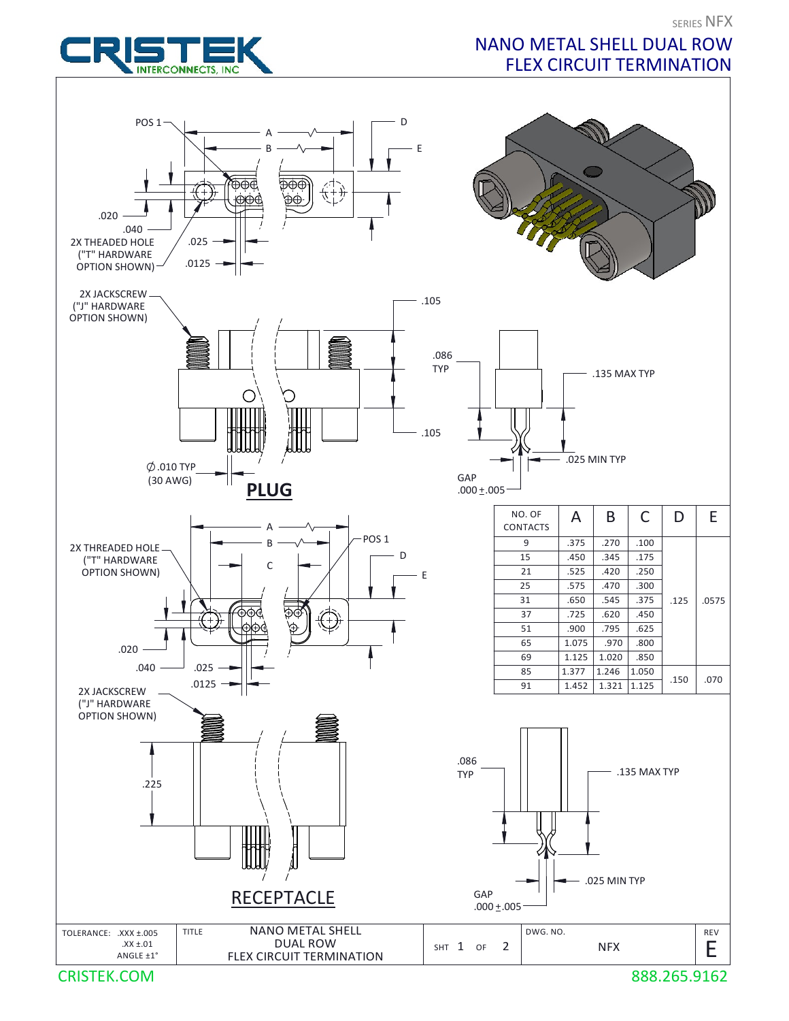## NANO METAL SHELL DUAL ROW FLEX CIRCUIT TERMINATION